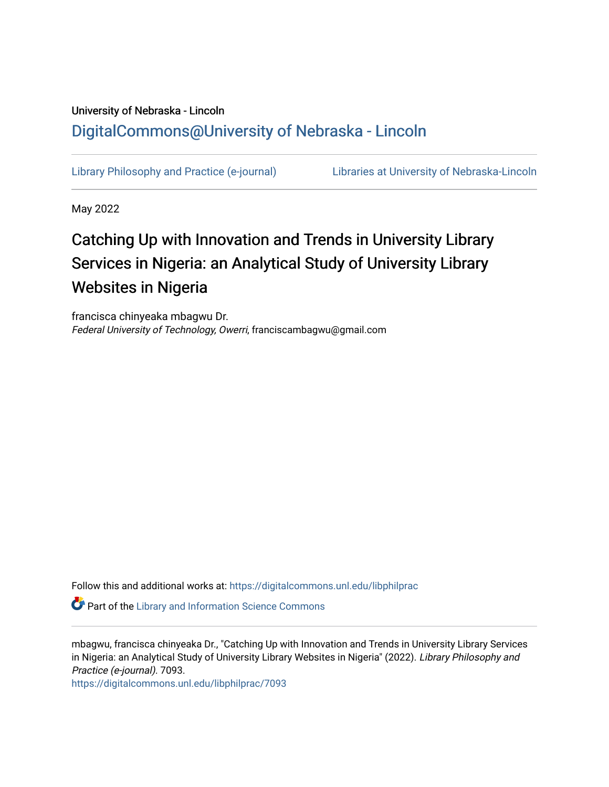# University of Nebraska - Lincoln [DigitalCommons@University of Nebraska - Lincoln](https://digitalcommons.unl.edu/)

[Library Philosophy and Practice \(e-journal\)](https://digitalcommons.unl.edu/libphilprac) [Libraries at University of Nebraska-Lincoln](https://digitalcommons.unl.edu/libraries) 

May 2022

# Catching Up with Innovation and Trends in University Library Services in Nigeria: an Analytical Study of University Library Websites in Nigeria

francisca chinyeaka mbagwu Dr. Federal University of Technology, Owerri, franciscambagwu@gmail.com

Follow this and additional works at: [https://digitalcommons.unl.edu/libphilprac](https://digitalcommons.unl.edu/libphilprac?utm_source=digitalcommons.unl.edu%2Flibphilprac%2F7093&utm_medium=PDF&utm_campaign=PDFCoverPages) 

**Part of the Library and Information Science Commons** 

mbagwu, francisca chinyeaka Dr., "Catching Up with Innovation and Trends in University Library Services in Nigeria: an Analytical Study of University Library Websites in Nigeria" (2022). Library Philosophy and Practice (e-journal). 7093.

[https://digitalcommons.unl.edu/libphilprac/7093](https://digitalcommons.unl.edu/libphilprac/7093?utm_source=digitalcommons.unl.edu%2Flibphilprac%2F7093&utm_medium=PDF&utm_campaign=PDFCoverPages)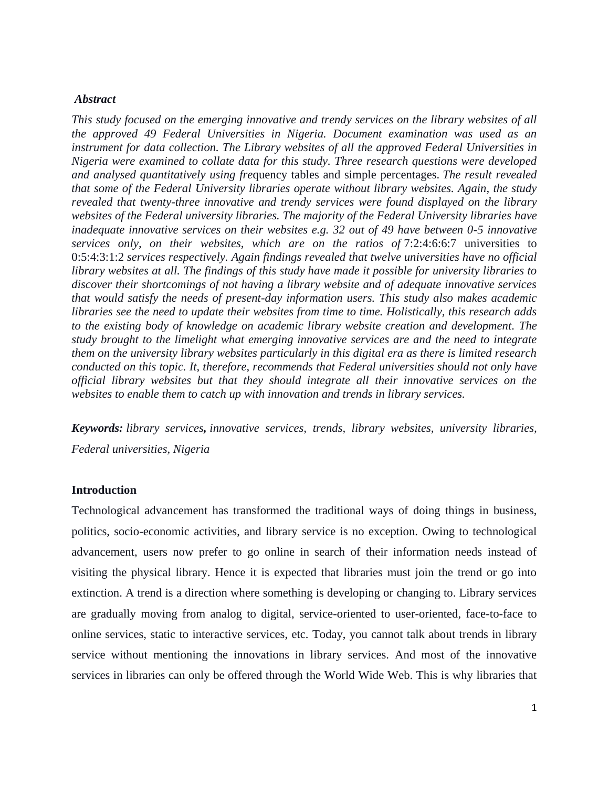# *Abstract*

*This study focused on the emerging innovative and trendy services on the library websites of all the approved 49 Federal Universities in Nigeria. Document examination was used as an instrument for data collection. The Library websites of all the approved Federal Universities in Nigeria were examined to collate data for this study. Three research questions were developed and analysed quantitatively using fre*quency tables and simple percentages. *The result revealed that some of the Federal University libraries operate without library websites. Again, the study revealed that twenty-three innovative and trendy services were found displayed on the library websites of the Federal university libraries. The majority of the Federal University libraries have inadequate innovative services on their websites e.g. 32 out of 49 have between 0-5 innovative services only, on their websites, which are on the ratios of* 7:2:4:6:6:7 universities to 0:5:4:3:1:2 *services respectively. Again findings revealed that twelve universities have no official library websites at all. The findings of this study have made it possible for university libraries to discover their shortcomings of not having a library website and of adequate innovative services that would satisfy the needs of present-day information users. This study also makes academic libraries see the need to update their websites from time to time. Holistically, this research adds to the existing body of knowledge on academic library website creation and development. The study brought to the limelight what emerging innovative services are and the need to integrate them on the university library websites particularly in this digital era as there is limited research conducted on this topic. It, therefore, recommends that Federal universities should not only have official library websites but that they should integrate all their innovative services on the websites to enable them to catch up with innovation and trends in library services.*

*Keywords: library services, innovative services, trends, library websites, university libraries, Federal universities, Nigeria* 

#### **Introduction**

Technological advancement has transformed the traditional ways of doing things in business, politics, socio-economic activities, and library service is no exception. Owing to technological advancement, users now prefer to go online in search of their information needs instead of visiting the physical library. Hence it is expected that libraries must join the trend or go into extinction. A trend is a direction where something is developing or changing to. Library services are gradually moving from analog to digital, service-oriented to user-oriented, face-to-face to online services, static to interactive services, etc. Today, you cannot talk about trends in library service without mentioning the innovations in library services. And most of the innovative services in libraries can only be offered through the World Wide Web. This is why libraries that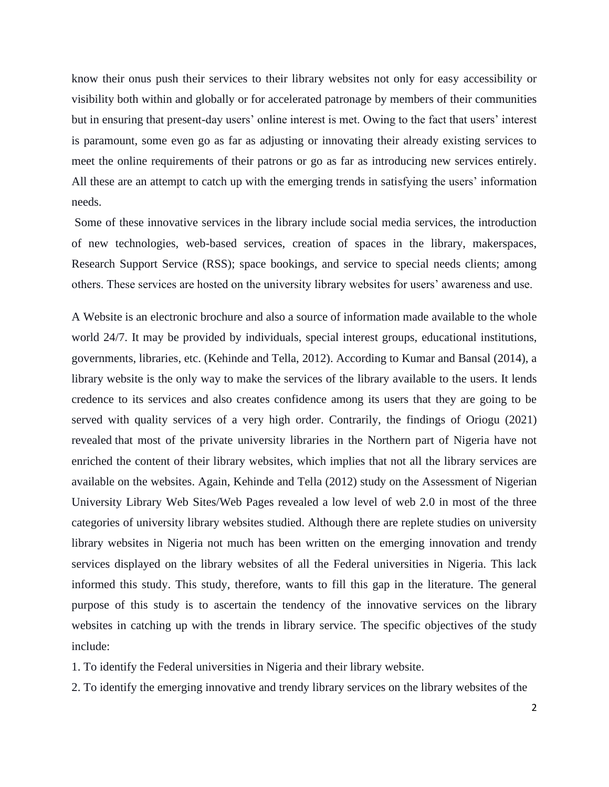know their onus push their services to their library websites not only for easy accessibility or visibility both within and globally or for accelerated patronage by members of their communities but in ensuring that present-day users' online interest is met. Owing to the fact that users' interest is paramount, some even go as far as adjusting or innovating their already existing services to meet the online requirements of their patrons or go as far as introducing new services entirely. All these are an attempt to catch up with the emerging trends in satisfying the users' information needs.

Some of these innovative services in the library include social media services, the introduction of new technologies, web-based services, creation of spaces in the library, makerspaces, Research Support Service (RSS); space bookings, and service to special needs clients; among others. These services are hosted on the university library websites for users' awareness and use.

A Website is an electronic brochure and also a source of information made available to the whole world 24/7. It may be provided by individuals, special interest groups, educational institutions, governments, libraries, etc. (Kehinde and Tella, 2012). According to Kumar and Bansal (2014), a library website is the only way to make the services of the library available to the users. It lends credence to its services and also creates confidence among its users that they are going to be served with quality services of a very high order. Contrarily, the findings of Oriogu (2021) revealed that most of the private university libraries in the Northern part of Nigeria have not enriched the content of their library websites, which implies that not all the library services are available on the websites. Again, Kehinde and Tella (2012) study on the Assessment of Nigerian University Library Web Sites/Web Pages revealed a low level of web 2.0 in most of the three categories of university library websites studied. Although there are replete studies on university library websites in Nigeria not much has been written on the emerging innovation and trendy services displayed on the library websites of all the Federal universities in Nigeria. This lack informed this study. This study, therefore, wants to fill this gap in the literature. The general purpose of this study is to ascertain the tendency of the innovative services on the library websites in catching up with the trends in library service. The specific objectives of the study include:

1. To identify the Federal universities in Nigeria and their library website.

2. To identify the emerging innovative and trendy library services on the library websites of the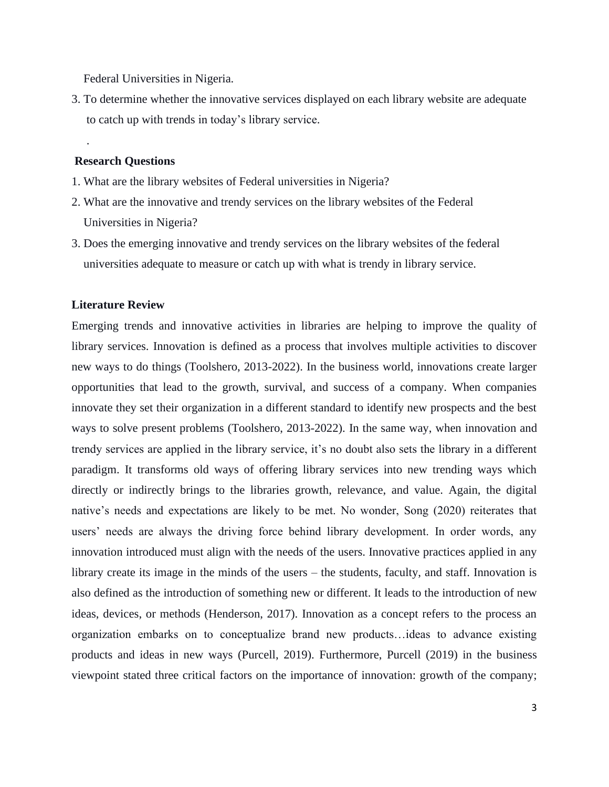Federal Universities in Nigeria.

3. To determine whether the innovative services displayed on each library website are adequate to catch up with trends in today's library service.

#### **Research Questions**

.

- 1. What are the library websites of Federal universities in Nigeria?
- 2. What are the innovative and trendy services on the library websites of the Federal Universities in Nigeria?
- 3. Does the emerging innovative and trendy services on the library websites of the federal universities adequate to measure or catch up with what is trendy in library service.

#### **Literature Review**

Emerging trends and innovative activities in libraries are helping to improve the quality of library services. Innovation is defined as a process that involves multiple activities to discover new ways to do things (Toolshero, 2013-2022). In the business world, innovations create larger opportunities that lead to the growth, survival, and success of a company. When companies innovate they set their organization in a different standard to identify new prospects and the best ways to solve present problems (Toolshero, 2013-2022). In the same way, when innovation and trendy services are applied in the library service, it's no doubt also sets the library in a different paradigm. It transforms old ways of offering library services into new trending ways which directly or indirectly brings to the libraries growth, relevance, and value. Again, the digital native's needs and expectations are likely to be met. No wonder, Song (2020) reiterates that users' needs are always the driving force behind library development. In order words, any innovation introduced must align with the needs of the users. Innovative practices applied in any library create its image in the minds of the users – the students, faculty, and staff. Innovation is also defined as the introduction of something new or different. It leads to the introduction of new ideas, devices, or methods (Henderson, 2017). Innovation as a concept refers to the process an organization embarks on to conceptualize brand new products…ideas to advance existing products and ideas in new ways (Purcell, 2019). Furthermore, Purcell (2019) in the business viewpoint stated three critical factors on the importance of innovation: growth of the company;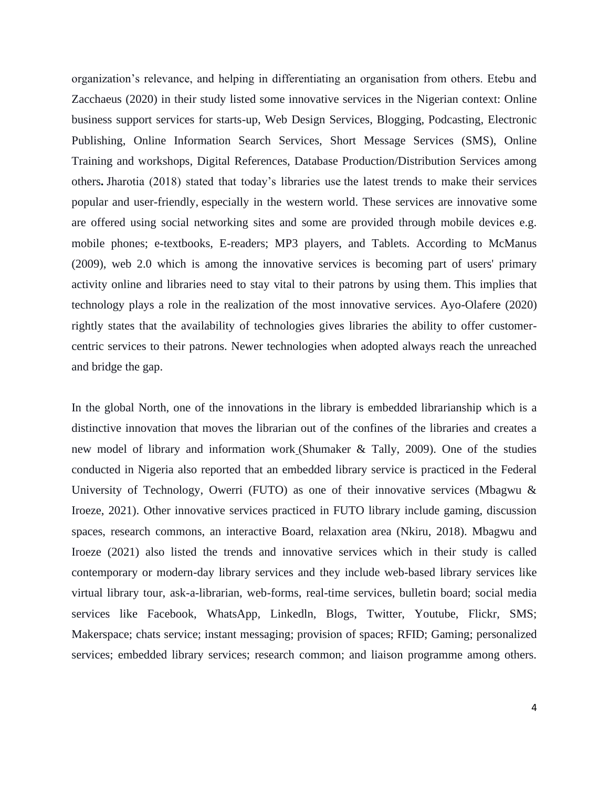organization's relevance, and helping in differentiating an organisation from others. Etebu and Zacchaeus (2020) in their study listed some innovative services in the Nigerian context: Online business support services for starts-up, Web Design Services, Blogging, Podcasting, Electronic Publishing, Online Information Search Services, Short Message Services (SMS), Online Training and workshops, Digital References, Database Production/Distribution Services among others**.** Jharotia (2018) stated that today's libraries use the latest trends to make their services popular and user-friendly, especially in the western world. These services are innovative some are offered using social networking sites and some are provided through mobile devices e.g. mobile phones; e-textbooks, E-readers; MP3 players, and Tablets. According to McManus (2009), web 2.0 which is among the innovative services is becoming part of users' primary activity online and libraries need to stay vital to their patrons by using them. This implies that technology plays a role in the realization of the most innovative services. Ayo-Olafere (2020) rightly states that the availability of technologies gives libraries the ability to offer customercentric services to their patrons. Newer technologies when adopted always reach the unreached and bridge the gap.

In the global North, one of the innovations in the library is embedded librarianship which is a distinctive innovation that moves the librarian out of the confines of the libraries and creates a new model of library and information work (Shumaker & Tally, 2009). One of the studies conducted in Nigeria also reported that an embedded library service is practiced in the Federal University of Technology, Owerri (FUTO) as one of their innovative services (Mbagwu & Iroeze, 2021). Other innovative services practiced in FUTO library include gaming, discussion spaces, research commons, an interactive Board, relaxation area (Nkiru, 2018). Mbagwu and Iroeze (2021) also listed the trends and innovative services which in their study is called contemporary or modern-day library services and they include web-based library services like virtual library tour, ask-a-librarian, web-forms, real-time services, bulletin board; social media services like Facebook, WhatsApp, Linkedln, Blogs, Twitter, Youtube, Flickr, SMS; Makerspace; chats service; instant messaging; provision of spaces; RFID; Gaming; personalized services; embedded library services; research common; and liaison programme among others.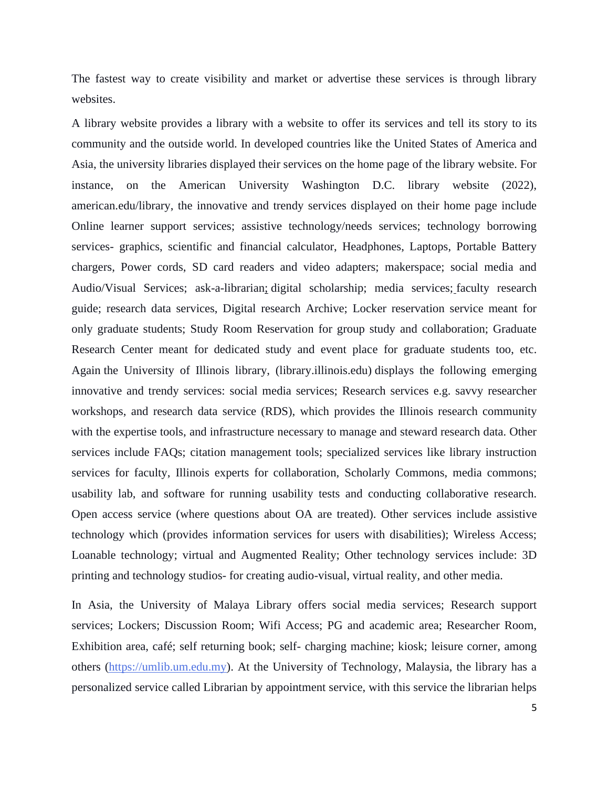The fastest way to create visibility and market or advertise these services is through library websites.

A library website provides a library with a website to offer its services and tell its story to its community and the outside world. In developed countries like the United States of America and Asia, the university libraries displayed their services on the home page of the library website. For instance, on the American University Washington D.C. library website (2022), american.edu/library, the innovative and trendy services displayed on their home page include Online learner support services; assistive technology/needs services; technology borrowing services- graphics, scientific and financial calculator, Headphones, Laptops, Portable Battery chargers, Power cords, SD card readers and video adapters; makerspace; social media and Audio/Visual Services; ask-a-librarian; digital scholarship; media services; faculty research guide; research data services, Digital research Archive; Locker reservation service meant for only graduate students; Study Room Reservation for group study and collaboration; Graduate Research Center meant for dedicated study and event place for graduate students too, etc. Again the University of Illinois library, (library.illinois.edu) displays the following emerging innovative and trendy services: social media services; Research services e.g. savvy researcher workshops, and research data service (RDS), which provides the Illinois research community with the expertise tools, and infrastructure necessary to manage and steward research data. Other services include FAQs; citation management tools; specialized services like library instruction services for faculty, Illinois experts for collaboration, Scholarly Commons, media commons; usability lab, and software for running usability tests and conducting collaborative research. Open access service (where questions about OA are treated). Other services include assistive technology which (provides information services for users with disabilities); Wireless Access; Loanable technology; virtual and Augmented Reality; Other technology services include: 3D printing and technology studios- for creating audio-visual, virtual reality, and other media.

In Asia, the University of Malaya Library offers social media services; Research support services; Lockers; Discussion Room; Wifi Access; PG and academic area; Researcher Room, Exhibition area, café; self returning book; self- charging machine; kiosk; leisure corner, among others [\(https://umlib.um.edu.my\)](https://umlib.um.edu.my/). At the University of Technology, Malaysia, the library has a personalized service called Librarian by appointment service, with this service the librarian helps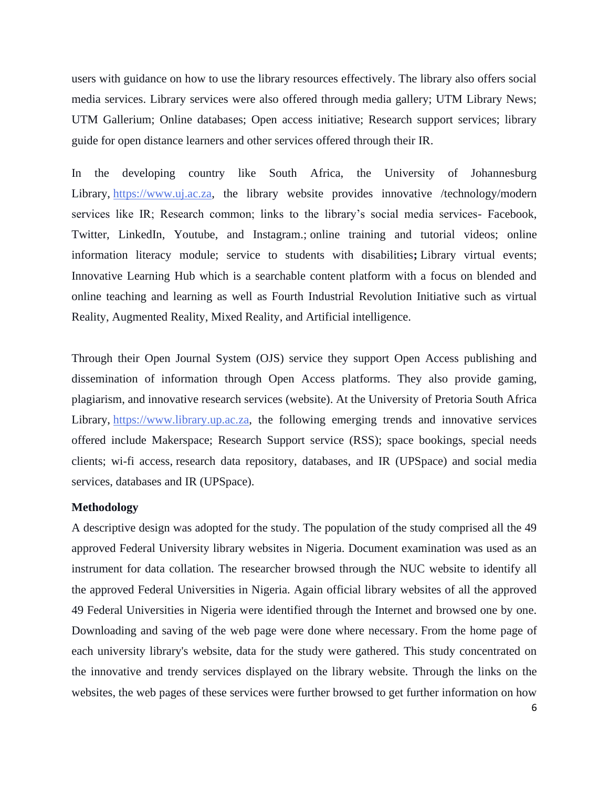users with guidance on how to use the library resources effectively. The library also offers social media services. Library services were also offered through media gallery; UTM Library News; UTM Gallerium; Online databases; Open access initiative; Research support services; library guide for open distance learners and other services offered through their IR.

In the developing country like South Africa, the University of Johannesburg Library, [https://www.uj.ac.za,](https://www.uj.ac.za/) the library website provides innovative /technology/modern services like IR; Research common; links to the library's social media services- Facebook, Twitter, LinkedIn, Youtube, and Instagram.; online training and tutorial videos; online information literacy module; service to students with disabilities**;** Library virtual events; Innovative Learning Hub which is a searchable content platform with a focus on blended and online teaching and learning as well as Fourth Industrial Revolution Initiative such as virtual Reality, Augmented Reality, Mixed Reality, and Artificial intelligence.

Through their Open Journal System (OJS) service they support Open Access publishing and dissemination of information through Open Access platforms. They also provide gaming, plagiarism, and innovative research services (website). At the University of Pretoria South Africa Library, [https://www.library.up.ac.za,](https://www.library.up.ac.za/) the following emerging trends and innovative services offered include Makerspace; Research Support service (RSS); space bookings, special needs clients; wi-fi access, research data repository, databases, and IR (UPSpace) and social media services, databases and IR (UPSpace).

# **Methodology**

A descriptive design was adopted for the study. The population of the study comprised all the 49 approved Federal University library websites in Nigeria. Document examination was used as an instrument for data collation. The researcher browsed through the NUC website to identify all the approved Federal Universities in Nigeria. Again official library websites of all the approved 49 Federal Universities in Nigeria were identified through the Internet and browsed one by one. Downloading and saving of the web page were done where necessary. From the home page of each university library's website, data for the study were gathered. This study concentrated on the innovative and trendy services displayed on the library website. Through the links on the websites, the web pages of these services were further browsed to get further information on how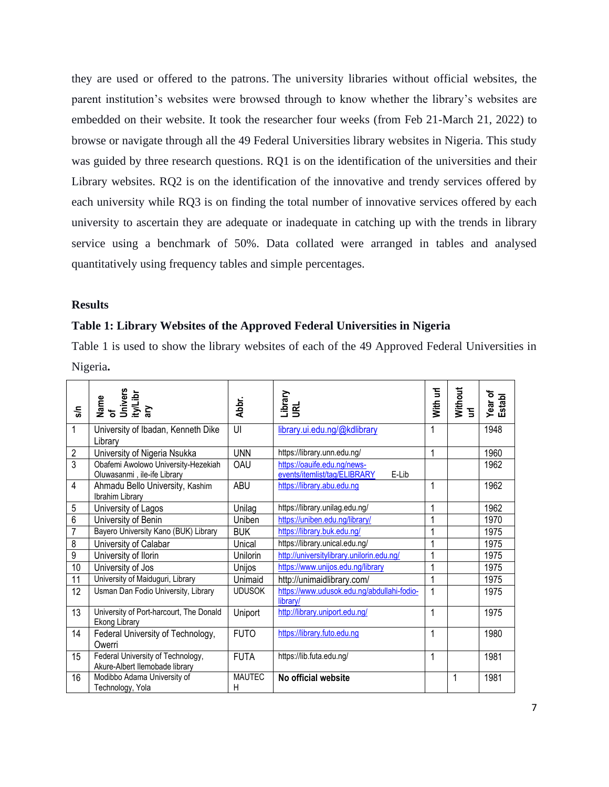they are used or offered to the patrons. The university libraries without official websites, the parent institution's websites were browsed through to know whether the library's websites are embedded on their website. It took the researcher four weeks (from Feb 21-March 21, 2022) to browse or navigate through all the 49 Federal Universities library websites in Nigeria. This study was guided by three research questions. RQ1 is on the identification of the universities and their Library websites. RQ2 is on the identification of the innovative and trendy services offered by each university while RQ3 is on finding the total number of innovative services offered by each university to ascertain they are adequate or inadequate in catching up with the trends in library service using a benchmark of 50%. Data collated were arranged in tables and analysed quantitatively using frequency tables and simple percentages.

# **Results**

## **Table 1: Library Websites of the Approved Federal Universities in Nigeria**

Table 1 is used to show the library websites of each of the 49 Approved Federal Universities in Nigeria**.**

| န္စ            | Name<br>of<br>Univers<br>ity/Libr<br>ary                            | Abbr.              | Library<br>URL                                                       | With url | Without<br>$\overline{a}$ | Year of<br>Establ |
|----------------|---------------------------------------------------------------------|--------------------|----------------------------------------------------------------------|----------|---------------------------|-------------------|
| $\mathbf{1}$   | University of Ibadan, Kenneth Dike<br>Library                       | UI                 | library.ui.edu.ng/@kdlibrary                                         |          |                           | 1948              |
| $\overline{2}$ | University of Nigeria Nsukka                                        | <b>UNN</b>         | https://library.unn.edu.ng/                                          | 1        |                           | 1960              |
| 3              | Obafemi Awolowo University-Hezekiah<br>Oluwasanmi, ile-ife Library  | <b>OAU</b>         | https://oauife.edu.ng/news-<br>events/itemlist/tag/ELIBRARY<br>E-Lib |          |                           | 1962              |
| 4              | Ahmadu Bello University, Kashim<br>Ibrahim Library                  | <b>ABU</b>         | https://library.abu.edu.ng                                           | 1        |                           | 1962              |
| 5              | University of Lagos                                                 | Unilag             | https://library.unilag.edu.ng/                                       | 1        |                           | 1962              |
| 6              | University of Benin                                                 | Uniben             | https://uniben.edu.ng/library/                                       | 1        |                           | 1970              |
| $\overline{7}$ | Bayero University Kano (BUK) Library                                | <b>BUK</b>         | https://library.buk.edu.ng/                                          | 1        |                           | 1975              |
| 8              | University of Calabar                                               | Unical             | https://library.unical.edu.ng/                                       | 1        |                           | 1975              |
| 9              | University of Ilorin                                                | Unilorin           | http://universitylibrary.unilorin.edu.ng/                            | 1        |                           | 1975              |
| 10             | University of Jos                                                   | Unijos             | https://www.unijos.edu.ng/library                                    | 1        |                           | 1975              |
| 11             | University of Maiduguri, Library                                    | Unimaid            | http://unimaidlibrary.com/                                           | 1        |                           | 1975              |
| 12             | Usman Dan Fodio University, Library                                 | <b>UDUSOK</b>      | https://www.udusok.edu.ng/abdullahi-fodio-<br>library/               | 1        |                           | 1975              |
| 13             | University of Port-harcourt, The Donald<br><b>Ekong Library</b>     | Uniport            | http://library.uniport.edu.ng/                                       | 1        |                           | 1975              |
| 14             | Federal University of Technology,<br>Owerri                         | <b>FUTO</b>        | https://library.futo.edu.ng                                          | 1        |                           | 1980              |
| 15             | Federal University of Technology,<br>Akure-Albert Ilemobade library | <b>FUTA</b>        | https://lib.futa.edu.ng/                                             | 1        |                           | 1981              |
| 16             | Modibbo Adama University of<br>Technology, Yola                     | <b>MAUTEC</b><br>н | No official website                                                  |          | 1                         | 1981              |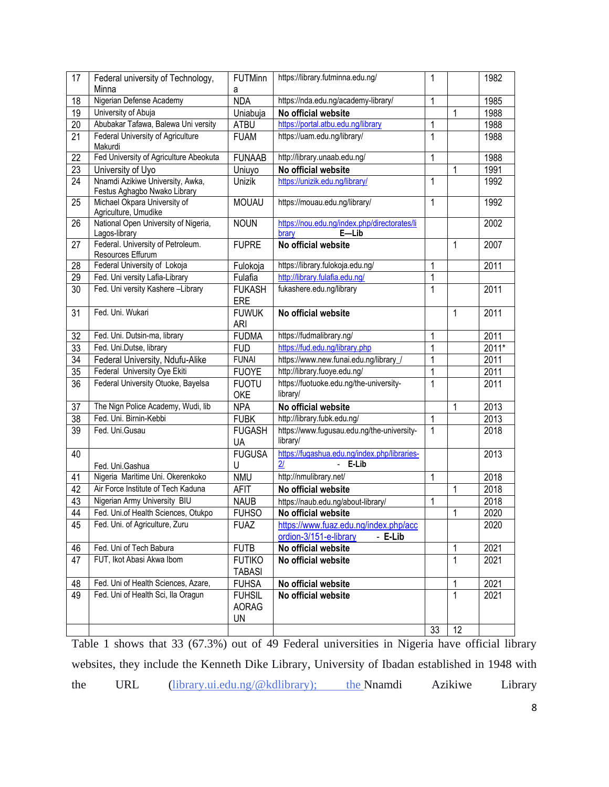| 17              | Federal university of Technology,<br>Minna                       | <b>FUTMinn</b><br>a                 | https://library.futminna.edu.ng/                                           |    |              | 1982    |
|-----------------|------------------------------------------------------------------|-------------------------------------|----------------------------------------------------------------------------|----|--------------|---------|
| 18              | Nigerian Defense Academy                                         | <b>NDA</b>                          | https://nda.edu.ng/academy-library/                                        |    |              | 1985    |
| 19              | University of Abuja                                              | Uniabuja                            | No official website                                                        |    | 1            | 1988    |
| 20              | Abubakar Tafawa, Balewa Uni versity                              | ATBU                                | https://portal.atbu.edu.ng/library                                         |    |              | 1988    |
| 21              | <b>Federal University of Agriculture</b><br>Makurdi              | <b>FUAM</b>                         | https://uam.edu.ng/library/                                                | 1  |              | 1988    |
| 22              | Fed University of Agriculture Abeokuta                           | <b>FUNAAB</b>                       | http://library.unaab.edu.ng/                                               | 1  |              | 1988    |
| $\overline{23}$ | University of Uyo                                                | Uniuyo                              | No official website                                                        |    | 1            | 1991    |
| 24              | Nnamdi Azikiwe University, Awka,<br>Festus Aghagbo Nwako Library | Unizik                              | https://unizik.edu.ng/library/                                             | 1  |              | 1992    |
| 25              | Michael Okpara University of<br>Agriculture, Umudike             | <b>MOUAU</b>                        | https://mouau.edu.ng/library/                                              | 1  |              | 1992    |
| 26              | National Open University of Nigeria,<br>Lagos-library            | <b>NOUN</b>                         | https://nou.edu.ng/index.php/directorates/li<br>$E$ -Lib<br>brary          |    |              | 2002    |
| 27              | Federal. University of Petroleum.<br>Resources Effurum           | <b>FUPRE</b>                        | No official website                                                        |    | $\mathbf{1}$ | 2007    |
| 28              | Federal University of Lokoja                                     | Fulokoja                            | https://library.fulokoja.edu.ng/                                           | 1  |              | 2011    |
| 29              | Fed. Uni versity Lafia-Library                                   | Fulafia                             | http://library.fulafia.edu.ng/                                             | 1  |              |         |
| 30              | Fed. Uni versity Kashere-Library                                 | <b>FUKASH</b><br>ERE                | fukashere.edu.ng/library                                                   | 1  |              | 2011    |
| 31              | Fed. Uni. Wukari                                                 | <b>FUWUK</b><br><b>ARI</b>          | No official website                                                        |    | $\mathbf{1}$ | 2011    |
| 32              | Fed. Uni. Dutsin-ma, library                                     | <b>FUDMA</b>                        | https://fudmalibrary.ng/                                                   | 1  |              | 2011    |
| 33              | Fed. Uni.Dutse, library                                          | <b>FUD</b>                          | https://fud.edu.ng/library.php                                             | 1  |              | $2011*$ |
| $\overline{34}$ | Federal University, Ndufu-Alike                                  | <b>FUNAI</b>                        | https://www.new.funai.edu.ng/library /                                     | 1  |              | 2011    |
| $\overline{35}$ | Federal University Oye Ekiti                                     | <b>FUOYE</b>                        | http://library.fuoye.edu.ng/                                               | 1  |              | 2011    |
| 36              | Federal University Otuoke, Bayelsa                               | <b>FUOTU</b><br>OKE                 | https://fuotuoke.edu.ng/the-university-<br>library/                        | 1  |              | 2011    |
| 37              | The Nign Police Academy, Wudi, lib                               | <b>NPA</b>                          | No official website                                                        |    | $\mathbf{1}$ | 2013    |
| 38              | Fed. Uni. Birnin-Kebbi                                           | <b>FUBK</b>                         | http://library.fubk.edu.ng/                                                | 1  |              | 2013    |
| 39              | Fed. Uni.Gusau                                                   | <b>FUGASH</b><br>UA                 | https://www.fugusau.edu.ng/the-university-<br>library/                     | 1  |              | 2018    |
| 40              | Fed. Uni.Gashua                                                  | <b>FUGUSA</b><br>U                  | https://fugashua.edu.ng/index.php/libraries-<br>E-Lib<br>21                |    |              | 2013    |
| 41              | Nigeria Maritime Uni. Okerenkoko                                 | <b>NMU</b>                          | http://nmulibrary.net/                                                     | 1  |              | 2018    |
| 42              | Air Force Institute of Tech Kaduna                               | <b>AFIT</b>                         | No official website                                                        |    | 1            | 2018    |
| 43              | Nigerian Army University BIU                                     | <b>NAUB</b>                         | https://naub.edu.ng/about-library/                                         | 1  |              | 2018    |
| 44              | Fed. Uni.of Health Sciences, Otukpo                              | <b>FUHSO</b>                        | No official website                                                        |    | 1            | 2020    |
| 45              | Fed. Uni. of Agriculture, Zuru                                   | <b>FUAZ</b>                         | https://www.fuaz.edu.ng/index.php/acc<br>ordion-3/151-e-library<br>- E-Lib |    |              | 2020    |
| 46              | Fed. Uni of Tech Babura                                          | <b>FUTB</b>                         | No official website                                                        |    | 1            | 2021    |
| 47              | FUT, Ikot Abasi Akwa Ibom                                        | <b>FUTIKO</b><br><b>TABASI</b>      | No official website                                                        |    | $\mathbf{1}$ | 2021    |
| 48              | Fed. Uni of Health Sciences, Azare,                              | <b>FUHSA</b>                        | No official website                                                        |    | 1            | 2021    |
| 49              | Fed. Uni of Health Sci, Ila Oragun                               | <b>FUHSIL</b><br><b>AORAG</b><br>UN | No official website                                                        |    | $\mathbf{1}$ | 2021    |
|                 |                                                                  |                                     |                                                                            | 33 | 12           |         |

Table 1 shows that 33 (67.3%) out of 49 Federal universities in Nigeria have official library websites, they include the Kenneth Dike Library, University of Ibadan established in 1948 with the URL [\(library.ui.edu.ng/@kdlibrary\); the](mailto:library.ui.edu.ng/@kdlibrary);) Nnamdi Azikiwe Library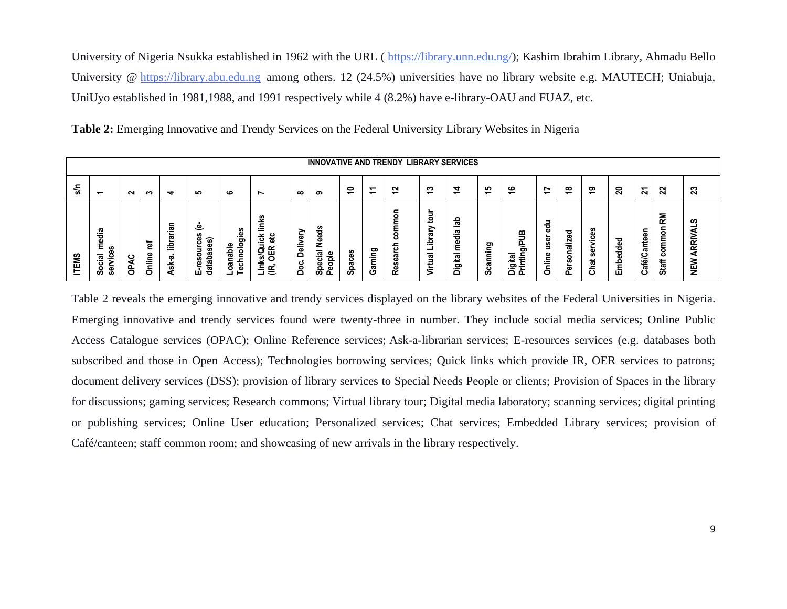University of Nigeria Nsukka established in 1962 with the URL ( [https://library.unn.edu.ng/\)](https://library.unn.edu.ng/); Kashim Ibrahim Library, Ahmadu Bello University @ [https://library.abu.edu.ng](https://library.abu.edu.ng/) among others. 12 (24.5%) universities have no library website e.g. MAUTECH; Uniabuja, UniUyo established in 1981,1988, and 1991 respectively while 4 (8.2%) have e-library-OAU and FUAZ, etc.

|              | <b>INNOVATIVE AND TRENDY LIBRARY SERVICES</b>                  |         |             |                                             |                                             |                                   |                                                              |                                      |                                                               |                           |                               |                                                 |                                                                                  |                                                                |                     |                                            |                                               |                                     |                       |                       |                  |                                       |                               |
|--------------|----------------------------------------------------------------|---------|-------------|---------------------------------------------|---------------------------------------------|-----------------------------------|--------------------------------------------------------------|--------------------------------------|---------------------------------------------------------------|---------------------------|-------------------------------|-------------------------------------------------|----------------------------------------------------------------------------------|----------------------------------------------------------------|---------------------|--------------------------------------------|-----------------------------------------------|-------------------------------------|-----------------------|-----------------------|------------------|---------------------------------------|-------------------------------|
| 응            | $\overline{\phantom{0}}$                                       | $\sim$  | ຕ           | ↽                                           | ഹ                                           | ڡ                                 | ~                                                            | $\infty$                             | ຶ                                                             | ₽                         | ↽<br>$\overline{\phantom{0}}$ | ົ<br>$\overline{\phantom{0}}$                   | ຕ<br>$\overline{\phantom{0}}$                                                    | ▿<br>$\overline{\phantom{0}}$                                  | က<br>$\overline{ }$ | ڥ                                          | r<br>$\overline{\phantom{0}}$                 | ≌                                   | ౽                     | ສ                     | 2                | $\boldsymbol{\mathcal{Z}}$            | ສ                             |
| <b>ITEMS</b> | ᢍ<br>Ѣ<br>ω<br>ε<br>᠊ᢛ<br>ş<br>یّ<br>er<br>Ser<br>$\circ$<br>ഗ | ¥<br>နိ | ē<br>Online | 등<br>c<br>æ<br>횰<br>=<br>ᢍ<br>÷<br>के<br>ÆT | Φ<br>$\tilde{}$<br>ိန္ယ<br>∍<br>Ο<br>ш<br>ಕ | نة.<br>G<br>۰<br>c<br>æ<br>c<br>മ | ಀೢ<br>Ξ<br>识<br>ㅎ<br>._<br>띥<br>₫<br>vī.<br>ته ⊇<br>$\equiv$ | ⋗<br>Φ<br>Deliv<br>ں<br>$\circ$<br>≏ | Ѣ<br>Φ<br>Φ<br>Ż<br>Ω.<br>౨<br>횽<br>ပ<br>۵J<br>Œ٥<br>o<br>ഗ പ | m<br>۵۵<br>ت<br>ത<br>င္တိ | ວ<br>aming<br>ပ               | ۰<br>٤<br>٤<br>۰<br>്<br>ㅎ<br>œ<br>Φ<br>ø<br>قع | -<br>-<br>$\circ$<br>متعد<br>↗<br>त्व<br>ݠ<br>$\overline{\mathbf{c}}$<br>2<br>.≐ | c<br>ω<br>œ<br>$-$<br>ъ<br>ω<br>σ<br>∸<br><u>ত</u><br>$\Omega$ | canning<br>Ō        | €<br>53<br>$\mathbf{a}$<br>÷<br>ā E<br>ه ۵ | -<br>☜<br>ō<br>ទូ<br>Ξ<br><u>e.</u><br>Ξ<br>o | ᇃ<br>ω<br>aliz<br>c<br>ഗ<br>Φ<br>o. | ā.<br>ق<br>္တ<br>Chat | ॆ<br>공<br>Φ<br>웉<br>ш | c<br>Café/Cantee | ΚM<br>=<br>$\circ$<br>Ē<br>8<br>Staff | ഗ<br>ব<br><b>ARRIV</b><br>NEW |

**Table 2:** Emerging Innovative and Trendy Services on the Federal University Library Websites in Nigeria

Table 2 reveals the emerging innovative and trendy services displayed on the library websites of the Federal Universities in Nigeria. Emerging innovative and trendy services found were twenty-three in number. They include social media services; Online Public Access Catalogue services (OPAC); Online Reference services; Ask-a-librarian services; E-resources services (e.g. databases both subscribed and those in Open Access); Technologies borrowing services; Quick links which provide IR, OER services to patrons; document delivery services (DSS); provision of library services to Special Needs People or clients; Provision of Spaces in the library for discussions; gaming services; Research commons; Virtual library tour; Digital media laboratory; scanning services; digital printing or publishing services; Online User education; Personalized services; Chat services; Embedded Library services; provision of Café/canteen; staff common room; and showcasing of new arrivals in the library respectively.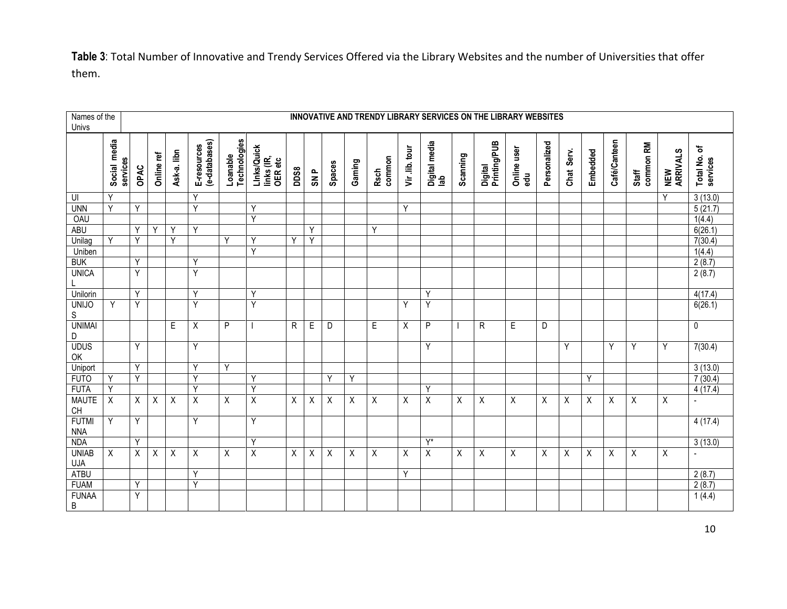**Table 3**: Total Number of Innovative and Trendy Services Offered via the Library Websites and the number of Universities that offer them.

| Names of the<br>Univs        |                          | INNOVATIVE AND TRENDY LIBRARY SERVICES ON THE LIBRARY WEBSITES |            |             |                              |                          |                                      |      |             |          |        |                       |                |                         |          |                           |                    |              |            |                           |              |                    |                 |                          |
|------------------------------|--------------------------|----------------------------------------------------------------|------------|-------------|------------------------------|--------------------------|--------------------------------------|------|-------------|----------|--------|-----------------------|----------------|-------------------------|----------|---------------------------|--------------------|--------------|------------|---------------------------|--------------|--------------------|-----------------|--------------------------|
|                              | Social media<br>services | OPAC                                                           | Online ref | Ask-a. libn | E-resources<br>(e-databases) | Loanable<br>Technologies | LInks/Quick<br>links (IR,<br>OER etc | DDS8 | <b>SNP</b>  | Spaces   | Gaming | common<br><b>Rsch</b> | Vir .lib. tour | Digital media<br>lab    | Scanning | Digital<br>Printing/PUB   | Online user<br>edu | Personalized | Chat Serv. | Embedded                  | Café/Canteen | common RM<br>Staff | NEW<br>ARRIVALS | Total No. of<br>services |
| UI                           | Υ                        |                                                                |            |             | Y                            |                          |                                      |      |             |          |        |                       |                |                         |          |                           |                    |              |            |                           |              |                    | Y               | 3(13.0)                  |
| <b>UNN</b>                   | Y                        | Y                                                              |            |             | Y                            |                          | Υ                                    |      |             |          |        |                       | Y              |                         |          |                           |                    |              |            |                           |              |                    |                 | 5(21.7)                  |
| OAU                          |                          |                                                                |            |             |                              |                          | Y                                    |      |             |          |        |                       |                |                         |          |                           |                    |              |            |                           |              |                    |                 | 1(4.4)                   |
| <b>ABU</b>                   |                          | Υ                                                              | Y          | Y           | Y                            |                          |                                      |      | Y           |          |        | Y                     |                |                         |          |                           |                    |              |            |                           |              |                    |                 | 6(26.1)                  |
| Unilag                       | Y                        | Y                                                              |            | Y           |                              | Y                        | Y                                    | Y    | Y           |          |        |                       |                |                         |          |                           |                    |              |            |                           |              |                    |                 | 7(30.4)                  |
| Uniben                       |                          |                                                                |            |             |                              |                          | Y                                    |      |             |          |        |                       |                |                         |          |                           |                    |              |            |                           |              |                    |                 | 1(4.4)                   |
| <b>BUK</b>                   |                          | Y                                                              |            |             | Y                            |                          |                                      |      |             |          |        |                       |                |                         |          |                           |                    |              |            |                           |              |                    |                 | 2(8.7)                   |
| <b>UNICA</b>                 |                          | Y                                                              |            |             | Y                            |                          |                                      |      |             |          |        |                       |                |                         |          |                           |                    |              |            |                           |              |                    |                 | 2(8.7)                   |
| Unilorin                     |                          | Y                                                              |            |             | Y                            |                          | Y                                    |      |             |          |        |                       |                | Y                       |          |                           |                    |              |            |                           |              |                    |                 | 4(17.4)                  |
| <b>UNIJO</b><br>$\mathsf S$  | Y                        | Υ                                                              |            |             | Y                            |                          | Y                                    |      |             |          |        |                       | Y              | Y                       |          |                           |                    |              |            |                           |              |                    |                 | 6(26.1)                  |
| <b>UNIMAI</b><br>$\mathsf D$ |                          |                                                                |            | E           | Χ                            | P                        |                                      | R    | $\mathsf E$ | D        |        | E                     | X              | P                       |          | R                         | $\mathsf E$        | D            |            |                           |              |                    |                 | 0                        |
| <b>UDUS</b><br>OK            |                          | Y                                                              |            |             | Y                            |                          |                                      |      |             |          |        |                       |                | Y                       |          |                           |                    |              | Y          |                           | Y            | Y                  | Y               | 7(30.4)                  |
| Uniport                      |                          | Y                                                              |            |             | Y                            | Y                        |                                      |      |             |          |        |                       |                |                         |          |                           |                    |              |            |                           |              |                    |                 | 3(13.0)                  |
| <b>FUTO</b>                  | Y                        | Y                                                              |            |             | Ÿ                            |                          | Y                                    |      |             | Y        | Y      |                       |                |                         |          |                           |                    |              |            | Y                         |              |                    |                 | 7(30.4)                  |
| <b>FUTA</b>                  | Y                        |                                                                |            |             | Ÿ                            |                          | Y                                    |      |             |          |        |                       |                | Y                       |          |                           |                    |              |            |                           |              |                    |                 | 4(17.4)                  |
| <b>MAUTE</b><br>CH           | $\overline{X}$           | X                                                              | X          | X           | $\overline{X}$               | X                        | $\overline{\mathsf{x}}$              | X    | Χ           | $\times$ | X      | X                     | X              | $\overline{\mathsf{X}}$ | X        | X                         | X                  | X            | X          | X                         | X            | X                  | X               | $\overline{\phantom{a}}$ |
| <b>FUTMI</b><br><b>NNA</b>   | Υ                        | Y                                                              |            |             | Υ                            |                          | Y                                    |      |             |          |        |                       |                |                         |          |                           |                    |              |            |                           |              |                    |                 | 4(17.4)                  |
| <b>NDA</b>                   |                          | Y                                                              |            |             |                              |                          | Y                                    |      |             |          |        |                       |                | $Y^*$                   |          |                           |                    |              |            |                           |              |                    |                 | 3(13.0)                  |
| <b>UNIAB</b>                 | X                        | X                                                              | Х          | Χ           | X                            | X                        | $\overline{X}$                       | X    | X           | X        | Χ      | X                     | X              | $\overline{X}$          | X        | $\boldsymbol{\mathsf{X}}$ | X                  | X            | X          | $\boldsymbol{\mathsf{X}}$ | X            | X                  | X               | $\overline{\phantom{a}}$ |
| <b>UJA</b>                   |                          |                                                                |            |             |                              |                          |                                      |      |             |          |        |                       |                |                         |          |                           |                    |              |            |                           |              |                    |                 |                          |
| <b>ATBU</b>                  |                          |                                                                |            |             | Y                            |                          |                                      |      |             |          |        |                       | Y              |                         |          |                           |                    |              |            |                           |              |                    |                 | 2(8.7)                   |
| <b>FUAM</b>                  |                          | Υ                                                              |            |             | Y                            |                          |                                      |      |             |          |        |                       |                |                         |          |                           |                    |              |            |                           |              |                    |                 | 2(8.7)                   |
| <b>FUNAA</b><br>$\sf B$      |                          | Y                                                              |            |             |                              |                          |                                      |      |             |          |        |                       |                |                         |          |                           |                    |              |            |                           |              |                    |                 | 1(4.4)                   |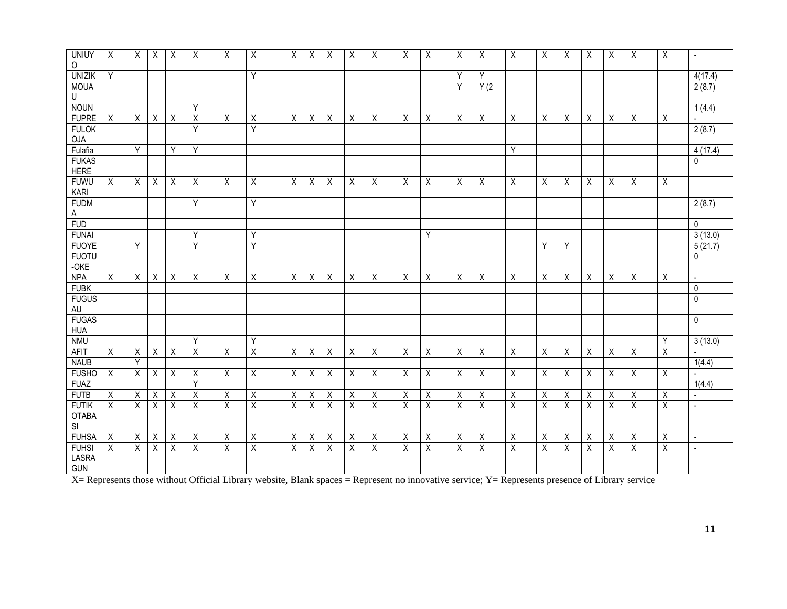| <b>UNIUY</b><br>$\circ$  | Χ | $\sf X$ | $\sf X$     | X | X              | X              | Χ       | Χ | X | X | Χ | Χ           | X | Χ            | X | Χ       | Χ           | Χ | X | Χ | Χ | Χ | Χ           | $\overline{\phantom{a}}$ |
|--------------------------|---|---------|-------------|---|----------------|----------------|---------|---|---|---|---|-------------|---|--------------|---|---------|-------------|---|---|---|---|---|-------------|--------------------------|
| <b>UNIZIK</b>            | Y |         |             |   |                |                | Y       |   |   |   |   |             |   |              | Y | Y       |             |   |   |   |   |   |             | 4(17.4)                  |
| <b>MOUA</b>              |   |         |             |   |                |                |         |   |   |   |   |             |   |              | Y | Y(2)    |             |   |   |   |   |   |             | 2(8.7)                   |
| U                        |   |         |             |   |                |                |         |   |   |   |   |             |   |              |   |         |             |   |   |   |   |   |             |                          |
| <b>NOUN</b>              |   |         |             |   | Y              |                |         |   |   |   |   |             |   |              |   |         |             |   |   |   |   |   |             | 1(4.4)                   |
| <b>FUPRE</b>             | X | X       | X           | X | $\sf X$        | X              | Χ       | X | X | X | Χ | $\sf X$     | X | Χ            | Χ | Χ       | X           | X | Χ | X | Χ | X | X           |                          |
| <b>FULOK</b>             |   |         |             |   | Y              |                | Y       |   |   |   |   |             |   |              |   |         |             |   |   |   |   |   |             | 2(8.7)                   |
| <b>OJA</b>               |   |         |             |   |                |                |         |   |   |   |   |             |   |              |   |         |             |   |   |   |   |   |             |                          |
| Fulafia                  |   | Y       |             | Y | Y              |                |         |   |   |   |   |             |   |              |   |         | Y           |   |   |   |   |   |             | $\overline{4(17.4)}$     |
| <b>FUKAS</b>             |   |         |             |   |                |                |         |   |   |   |   |             |   |              |   |         |             |   |   |   |   |   |             | 0                        |
| <b>HERE</b>              |   |         |             |   |                |                |         |   |   |   |   |             |   |              |   |         |             |   |   |   |   |   |             |                          |
| <b>FUWU</b><br>KARI      | Χ | Χ       | Χ           | Χ | X              | X              | Χ       | Χ | Χ | Χ | Χ | Χ           | Χ | Χ            | Χ | Χ       | X           | Χ | X | Χ | Χ | Χ | Χ           |                          |
| <b>FUDM</b>              |   |         |             |   | Y              |                | Y       |   |   |   |   |             |   |              |   |         |             |   |   |   |   |   |             | 2(8.7)                   |
| A                        |   |         |             |   |                |                |         |   |   |   |   |             |   |              |   |         |             |   |   |   |   |   |             |                          |
| <b>FUD</b>               |   |         |             |   |                |                |         |   |   |   |   |             |   |              |   |         |             |   |   |   |   |   |             | $\Omega$                 |
| <b>FUNAI</b>             |   |         |             |   | Y              |                | Y       |   |   |   |   |             |   | Y            |   |         |             |   |   |   |   |   |             | 3(13.0)                  |
| <b>FUOYE</b>             |   | Y       |             |   | Y              |                | Y       |   |   |   |   |             |   |              |   |         |             | Y | Y |   |   |   |             | 5(21.7)                  |
| <b>FUOTU</b>             |   |         |             |   |                |                |         |   |   |   |   |             |   |              |   |         |             |   |   |   |   |   |             | 0                        |
| $-OKE$                   |   |         |             |   |                |                |         |   |   |   |   |             |   |              |   |         |             |   |   |   |   |   |             |                          |
| <b>NPA</b>               | X | X       | Χ           | Χ | X              | Χ              | Χ       | Χ | Χ | X | Χ | X           | Χ | Χ            | Χ | X       | Χ           | Χ | X | Χ | X | Χ | Χ           | $\sim$                   |
| <b>FUBK</b>              |   |         |             |   |                |                |         |   |   |   |   |             |   |              |   |         |             |   |   |   |   |   |             | 0                        |
| <b>FUGUS</b>             |   |         |             |   |                |                |         |   |   |   |   |             |   |              |   |         |             |   |   |   |   |   |             | $\mathbf{0}$             |
| AU                       |   |         |             |   |                |                |         |   |   |   |   |             |   |              |   |         |             |   |   |   |   |   |             |                          |
| <b>FUGAS</b>             |   |         |             |   |                |                |         |   |   |   |   |             |   |              |   |         |             |   |   |   |   |   |             | $\mathbf 0$              |
| <b>HUA</b><br><b>NMU</b> |   |         |             |   | Y              |                | Y       |   |   |   |   |             |   |              |   |         |             |   |   |   |   |   | Y           | 3(13.0)                  |
|                          |   |         |             |   |                |                |         |   |   |   |   |             |   |              |   |         |             |   |   |   |   |   |             |                          |
| AFIT<br><b>NAUB</b>      | X | X<br>Y  | X           | X | X              | X              | X       | X | X | X | X | X           | X | X            | X | X       | Χ           | X | X | X | X | X | X           | 1(4.4)                   |
| <b>FUSHO</b>             | Χ | Χ       | X           | Χ | X              | Χ              | X       | Χ | Χ | Χ | Χ | Χ           | Χ | Χ            | Χ | Χ       | X           | Χ | X | Χ | X | Χ | Χ           |                          |
| <b>FUAZ</b>              |   |         |             |   | Y              |                |         |   |   |   |   |             |   |              |   |         |             |   |   |   |   |   |             | 1(4.4)                   |
| <b>FUTB</b>              | Χ | Χ       | Χ           | Χ | $\sf X$        | Χ              | Χ       | Χ | Χ | Χ | X | Χ           | X | Χ            | Χ | Χ       | X           | Χ | X | Χ | Х | Χ | Χ           | $\overline{a}$           |
| <b>FUTIK</b>             | X | X       | $\mathsf X$ | X | $\overline{X}$ | $\overline{X}$ | $\sf X$ | X | Χ | Χ | X | $\mathsf X$ | Χ | $\pmb{\chi}$ | X | $\sf X$ | $\mathsf X$ | Χ | Χ | X | Χ | Χ | $\mathsf X$ | $\overline{a}$           |
| <b>OTABA</b>             |   |         |             |   |                |                |         |   |   |   |   |             |   |              |   |         |             |   |   |   |   |   |             |                          |
| SI                       |   |         |             |   |                |                |         |   |   |   |   |             |   |              |   |         |             |   |   |   |   |   |             |                          |
| <b>FUHSA</b>             | Χ | Χ       | Χ           | Χ | $\sf X$        | X              | Χ       | X | Χ | Χ | X | X           | Χ | X            | X | Χ       | X           | Χ | Χ | Χ | Χ | Х | X           | $\blacksquare$           |
| <b>FUHSI</b>             | X | X       | X           | X | X              | X              | X       | X | X | X | X | Χ           | X | X            | X | X       | X           | Χ | X | X | X | Χ | X           | $\blacksquare$           |
| LASRA<br><b>GUN</b>      |   |         |             |   |                |                |         |   |   |   |   |             |   |              |   |         |             |   |   |   |   |   |             |                          |

X= Represents those without Official Library website, Blank spaces = Represent no innovative service; Y= Represents presence of Library service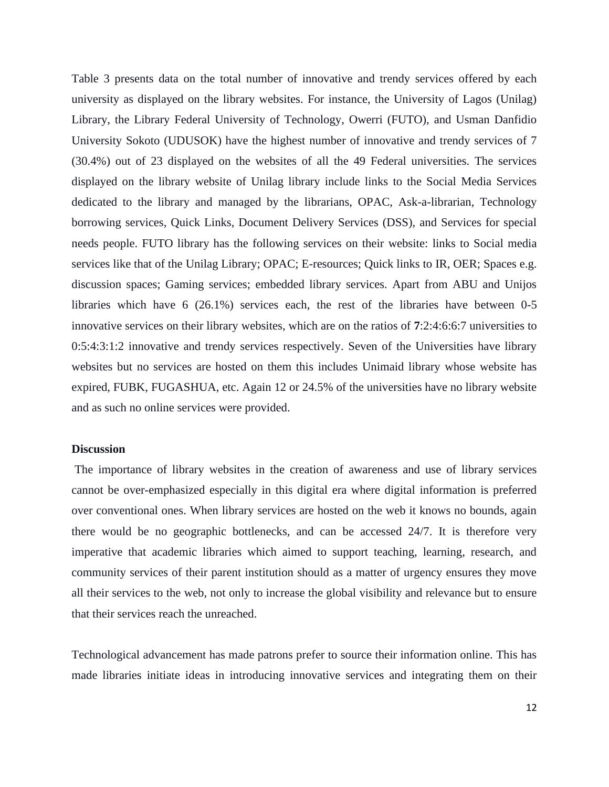Table 3 presents data on the total number of innovative and trendy services offered by each university as displayed on the library websites. For instance, the University of Lagos (Unilag) Library, the Library Federal University of Technology, Owerri (FUTO), and Usman Danfidio University Sokoto (UDUSOK) have the highest number of innovative and trendy services of 7 (30.4%) out of 23 displayed on the websites of all the 49 Federal universities. The services displayed on the library website of Unilag library include links to the Social Media Services dedicated to the library and managed by the librarians, OPAC, Ask-a-librarian, Technology borrowing services, Quick Links, Document Delivery Services (DSS), and Services for special needs people. FUTO library has the following services on their website: links to Social media services like that of the Unilag Library; OPAC; E-resources; Quick links to IR, OER; Spaces e.g. discussion spaces; Gaming services; embedded library services. Apart from ABU and Unijos libraries which have 6 (26.1%) services each, the rest of the libraries have between 0-5 innovative services on their library websites, which are on the ratios of **7**:2:4:6:6:7 universities to 0:5:4:3:1:2 innovative and trendy services respectively. Seven of the Universities have library websites but no services are hosted on them this includes Unimaid library whose website has expired, FUBK, FUGASHUA, etc. Again 12 or 24.5% of the universities have no library website and as such no online services were provided.

#### **Discussion**

The importance of library websites in the creation of awareness and use of library services cannot be over-emphasized especially in this digital era where digital information is preferred over conventional ones. When library services are hosted on the web it knows no bounds, again there would be no geographic bottlenecks, and can be accessed 24/7. It is therefore very imperative that academic libraries which aimed to support teaching, learning, research, and community services of their parent institution should as a matter of urgency ensures they move all their services to the web, not only to increase the global visibility and relevance but to ensure that their services reach the unreached.

Technological advancement has made patrons prefer to source their information online. This has made libraries initiate ideas in introducing innovative services and integrating them on their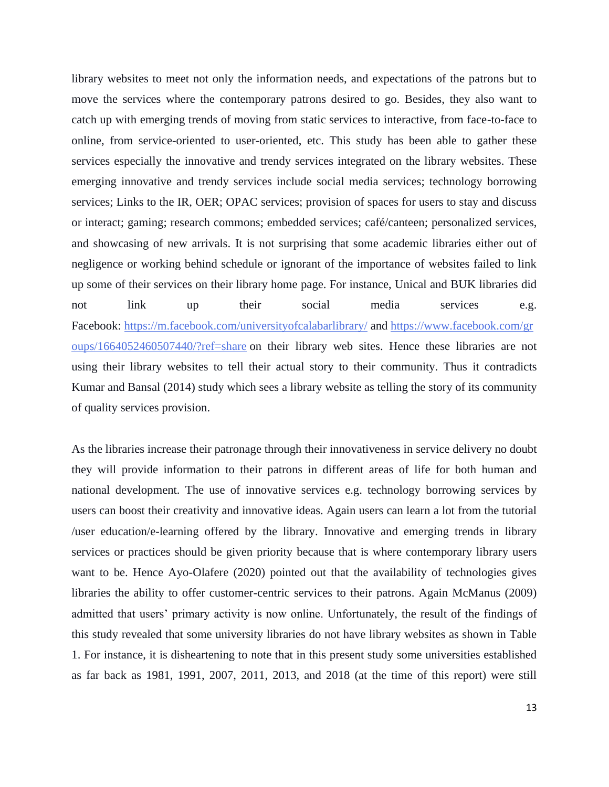library websites to meet not only the information needs, and expectations of the patrons but to move the services where the contemporary patrons desired to go. Besides, they also want to catch up with emerging trends of moving from static services to interactive, from face-to-face to online, from service-oriented to user-oriented, etc. This study has been able to gather these services especially the innovative and trendy services integrated on the library websites. These emerging innovative and trendy services include social media services; technology borrowing services; Links to the IR, OER; OPAC services; provision of spaces for users to stay and discuss or interact; gaming; research commons; embedded services; café/canteen; personalized services, and showcasing of new arrivals. It is not surprising that some academic libraries either out of negligence or working behind schedule or ignorant of the importance of websites failed to link up some of their services on their library home page. For instance, Unical and BUK libraries did not link up their social media services e.g. Facebook: <https://m.facebook.com/universityofcalabarlibrary/> and [https://www.facebook.com/gr](https://www.facebook.com/groups/1664052460507440/?ref=share) [oups/1664052460507440/?ref=share](https://www.facebook.com/groups/1664052460507440/?ref=share) on their library web sites. Hence these libraries are not using their library websites to tell their actual story to their community. Thus it contradicts Kumar and Bansal (2014) study which sees a library website as telling the story of its community of quality services provision.

As the libraries increase their patronage through their innovativeness in service delivery no doubt they will provide information to their patrons in different areas of life for both human and national development. The use of innovative services e.g. technology borrowing services by users can boost their creativity and innovative ideas. Again users can learn a lot from the tutorial /user education/e-learning offered by the library. Innovative and emerging trends in library services or practices should be given priority because that is where contemporary library users want to be. Hence Ayo-Olafere (2020) pointed out that the availability of technologies gives libraries the ability to offer customer-centric services to their patrons. Again McManus (2009) admitted that users' primary activity is now online. Unfortunately, the result of the findings of this study revealed that some university libraries do not have library websites as shown in Table 1. For instance, it is disheartening to note that in this present study some universities established as far back as 1981, 1991, 2007, 2011, 2013, and 2018 (at the time of this report) were still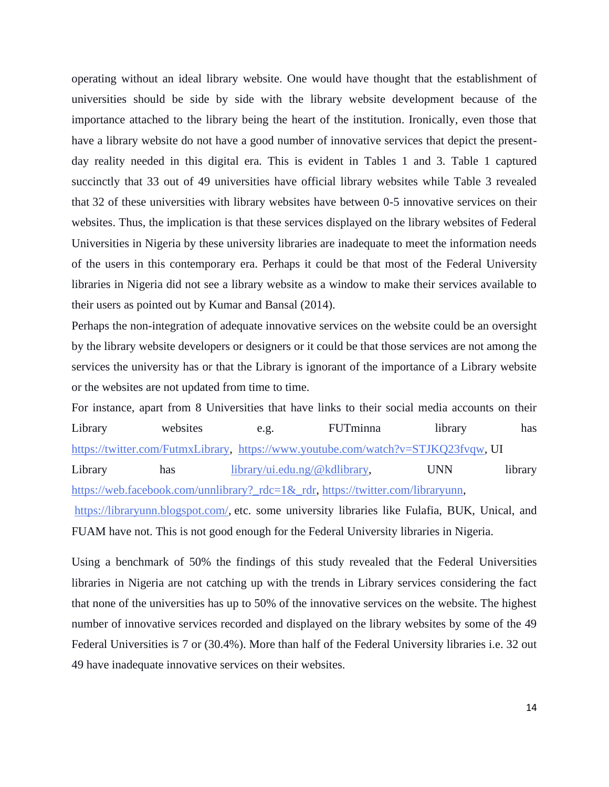operating without an ideal library website. One would have thought that the establishment of universities should be side by side with the library website development because of the importance attached to the library being the heart of the institution. Ironically, even those that have a library website do not have a good number of innovative services that depict the presentday reality needed in this digital era. This is evident in Tables 1 and 3. Table 1 captured succinctly that 33 out of 49 universities have official library websites while Table 3 revealed that 32 of these universities with library websites have between 0-5 innovative services on their websites. Thus, the implication is that these services displayed on the library websites of Federal Universities in Nigeria by these university libraries are inadequate to meet the information needs of the users in this contemporary era. Perhaps it could be that most of the Federal University libraries in Nigeria did not see a library website as a window to make their services available to their users as pointed out by Kumar and Bansal (2014).

Perhaps the non-integration of adequate innovative services on the website could be an oversight by the library website developers or designers or it could be that those services are not among the services the university has or that the Library is ignorant of the importance of a Library website or the websites are not updated from time to time.

For instance, apart from 8 Universities that have links to their social media accounts on their Library websites e.g. FUTminna library has [https://twitter.com/FutmxLibrary,](https://twitter.com/FutmxLibrary) [https://www.youtube.com/watch?v=STJKQ23fvqw,](https://www.youtube.com/watch?v=STJKQ23fvqw) UI Library has [library/ui.edu.ng/@kdlibrary,](mailto:library/ui.edu.ng/@kdlibrary) UNN library [https://web.facebook.com/unnlibrary?\\_rdc=1&\\_rdr,](https://web.facebook.com/unnlibrary?_rdc=1&_rdr) [https://twitter.com/libraryunn,](https://twitter.com/libraryunn) [https://libraryunn.blogspot.com/,](https://libraryunn.blogspot.com/) etc. some university libraries like Fulafia, BUK, Unical, and FUAM have not. This is not good enough for the Federal University libraries in Nigeria.

Using a benchmark of 50% the findings of this study revealed that the Federal Universities libraries in Nigeria are not catching up with the trends in Library services considering the fact that none of the universities has up to 50% of the innovative services on the website. The highest number of innovative services recorded and displayed on the library websites by some of the 49 Federal Universities is 7 or (30.4%). More than half of the Federal University libraries i.e. 32 out 49 have inadequate innovative services on their websites.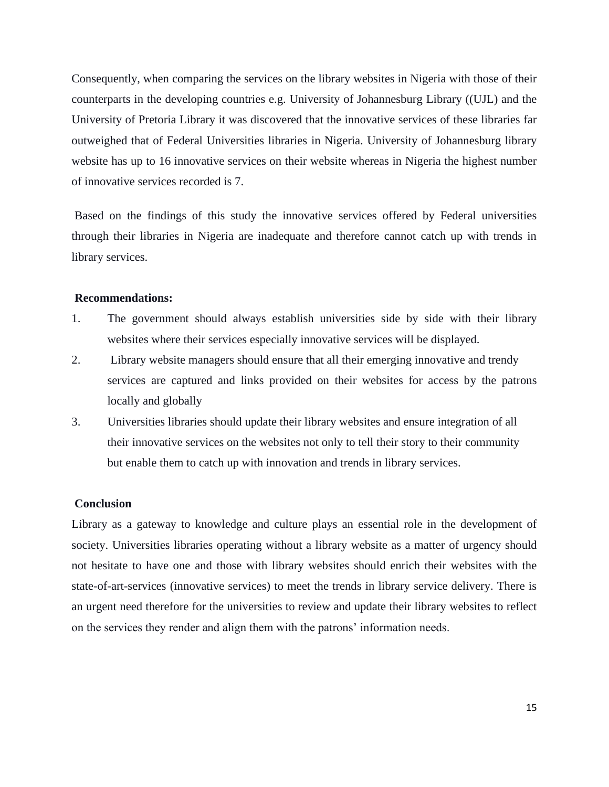Consequently, when comparing the services on the library websites in Nigeria with those of their counterparts in the developing countries e.g. University of Johannesburg Library ((UJL) and the University of Pretoria Library it was discovered that the innovative services of these libraries far outweighed that of Federal Universities libraries in Nigeria. University of Johannesburg library website has up to 16 innovative services on their website whereas in Nigeria the highest number of innovative services recorded is 7.

Based on the findings of this study the innovative services offered by Federal universities through their libraries in Nigeria are inadequate and therefore cannot catch up with trends in library services.

# **Recommendations:**

- 1. The government should always establish universities side by side with their library websites where their services especially innovative services will be displayed.
- 2. Library website managers should ensure that all their emerging innovative and trendy services are captured and links provided on their websites for access by the patrons locally and globally
- 3. Universities libraries should update their library websites and ensure integration of all their innovative services on the websites not only to tell their story to their community but enable them to catch up with innovation and trends in library services.

### **Conclusion**

Library as a gateway to knowledge and culture plays an essential role in the development of society. Universities libraries operating without a library website as a matter of urgency should not hesitate to have one and those with library websites should enrich their websites with the state-of-art-services (innovative services) to meet the trends in library service delivery. There is an urgent need therefore for the universities to review and update their library websites to reflect on the services they render and align them with the patrons' information needs.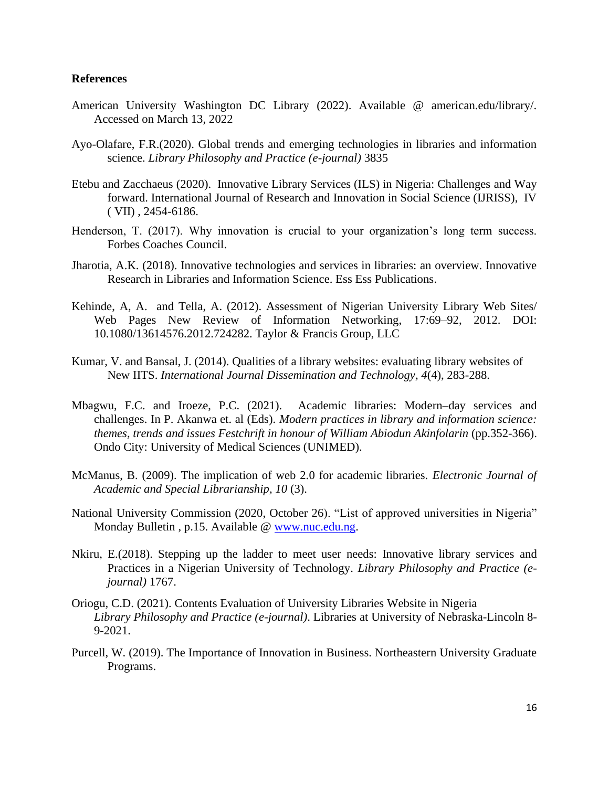# **References**

- American University Washington DC Library (2022). Available @ american.edu/library/. Accessed on March 13, 2022
- Ayo-Olafare, F.R.(2020). Global trends and emerging technologies in libraries and information science. *Library Philosophy and Practice (e-journal)* 3835
- Etebu and Zacchaeus (2020). Innovative Library Services (ILS) in Nigeria: Challenges and Way forward. International Journal of Research and Innovation in Social Science (IJRISS), IV ( VII) , 2454-6186.
- Henderson, T. (2017). Why innovation is crucial to your organization's long term success. Forbes Coaches Council.
- Jharotia, A.K. (2018). Innovative technologies and services in libraries: an overview. Innovative Research in Libraries and Information Science. Ess Ess Publications.
- Kehinde, A, A. and Tella, A. (2012). Assessment of Nigerian University Library Web Sites/ Web Pages New Review of Information Networking, 17:69–92, 2012. DOI: 10.1080/13614576.2012.724282. Taylor & Francis Group, LLC
- Kumar, V. and Bansal, J. (2014). Qualities of a library websites: evaluating library websites of New IITS. *International Journal Dissemination and Technology, 4*(4), 283-288.
- Mbagwu, F.C. and Iroeze, P.C. (2021). Academic libraries: Modern–day services and challenges. In P. Akanwa et. al (Eds). *Modern practices in library and information science: themes, trends and issues Festchrift in honour of William Abiodun Akinfolarin* (pp.352-366). Ondo City: University of Medical Sciences (UNIMED).
- McManus, B. (2009). The implication of web 2.0 for academic libraries. *Electronic Journal of Academic and Special Librarianship, 10* (3).
- National University Commission (2020, October 26). "List of approved universities in Nigeria" Monday Bulletin , p.15. Available @ [www.nuc.edu.ng.](http://www.nuc.edu.ng/)
- Nkiru, E.(2018). Stepping up the ladder to meet user needs: Innovative library services and Practices in a Nigerian University of Technology. *Library Philosophy and Practice (ejournal)* 1767.
- Oriogu, C.D. (2021). Contents Evaluation of University Libraries Website in Nigeria *Library Philosophy and Practice (e-journal)*. Libraries at University of Nebraska-Lincoln 8- 9-2021.
- Purcell, W. (2019). The Importance of Innovation in Business. Northeastern University Graduate Programs.